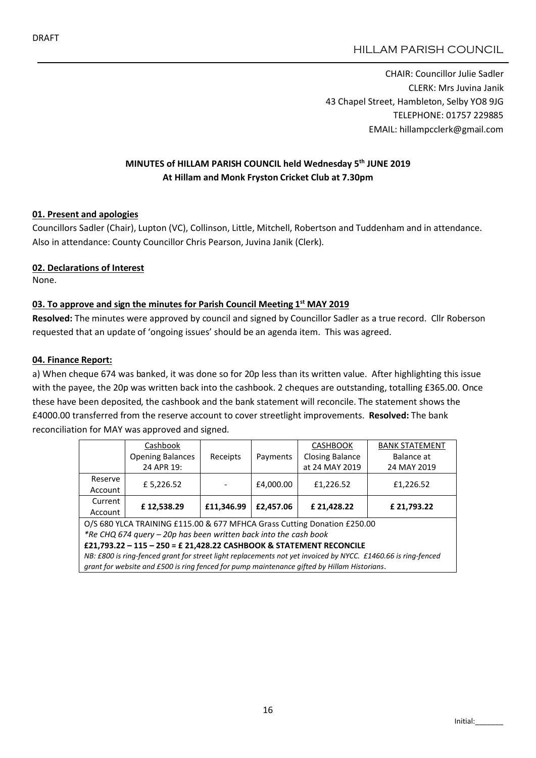CHAIR: Councillor Julie Sadler CLERK: Mrs Juvina Janik 43 Chapel Street, Hambleton, Selby YO8 9JG TELEPHONE: 01757 229885 EMAIL: hillampcclerk@gmail.com

# MINUTES of HILLAM PARISH COUNCIL held Wednesday 5th JUNE 2019 At Hillam and Monk Fryston Cricket Club at 7.30pm

### 01. Present and apologies

Councillors Sadler (Chair), Lupton (VC), Collinson, Little, Mitchell, Robertson and Tuddenham and in attendance. Also in attendance: County Councillor Chris Pearson, Juvina Janik (Clerk).

#### 02. Declarations of Interest

None.

### 03. To approve and sign the minutes for Parish Council Meeting 1st MAY 2019

Resolved: The minutes were approved by council and signed by Councillor Sadler as a true record. Cllr Roberson requested that an update of 'ongoing issues' should be an agenda item. This was agreed.

#### 04. Finance Report:

a) When cheque 674 was banked, it was done so for 20p less than its written value. After highlighting this issue with the payee, the 20p was written back into the cashbook. 2 cheques are outstanding, totalling £365.00. Once these have been deposited, the cashbook and the bank statement will reconcile. The statement shows the £4000.00 transferred from the reserve account to cover streetlight improvements. Resolved: The bank reconciliation for MAY was approved and signed.

|                                                                                                               | Cashbook                |            | Payments  | <b>CASHBOOK</b>        | <b>BANK STATEMENT</b> |  |  |  |  |
|---------------------------------------------------------------------------------------------------------------|-------------------------|------------|-----------|------------------------|-----------------------|--|--|--|--|
|                                                                                                               | <b>Opening Balances</b> | Receipts   |           | <b>Closing Balance</b> | Balance at            |  |  |  |  |
|                                                                                                               | 24 APR 19:              |            |           | at 24 MAY 2019         | 24 MAY 2019           |  |  |  |  |
| Reserve                                                                                                       | £ 5,226.52              |            | £4,000.00 | £1,226.52              | £1,226.52             |  |  |  |  |
| Account                                                                                                       |                         |            |           |                        |                       |  |  |  |  |
| Current                                                                                                       | £12,538.29              | £11,346.99 | £2,457.06 | £21,428.22             | £21,793.22            |  |  |  |  |
| Account                                                                                                       |                         |            |           |                        |                       |  |  |  |  |
| O/S 680 YLCA TRAINING £115.00 & 677 MFHCA Grass Cutting Donation £250.00                                      |                         |            |           |                        |                       |  |  |  |  |
| *Re CHQ 674 query - 20p has been written back into the cash book                                              |                         |            |           |                        |                       |  |  |  |  |
| £21,793.22 - 115 - 250 = £ 21,428.22 CASHBOOK & STATEMENT RECONCILE                                           |                         |            |           |                        |                       |  |  |  |  |
| NB: £800 is ring-fenced grant for street light replacements not yet invoiced by NYCC. £1460.66 is ring-fenced |                         |            |           |                        |                       |  |  |  |  |
| grant for website and £500 is ring fenced for pump maintenance gifted by Hillam Historians.                   |                         |            |           |                        |                       |  |  |  |  |
|                                                                                                               |                         |            |           |                        |                       |  |  |  |  |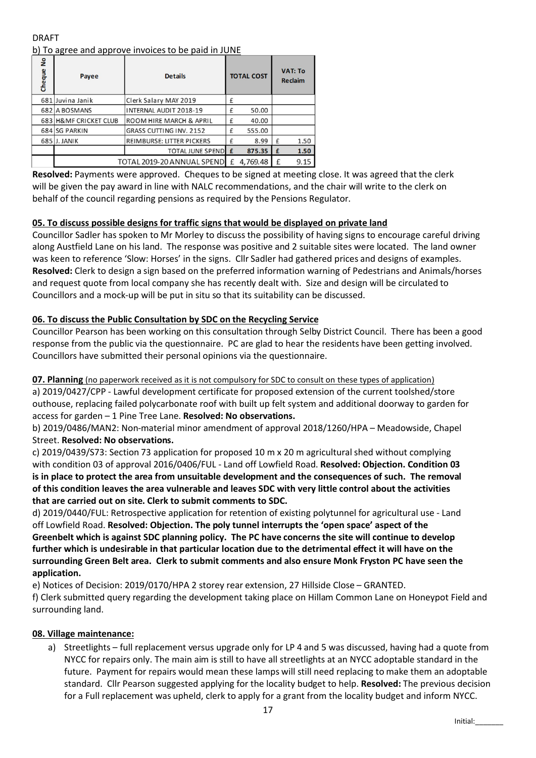DRAFT b) To agree and approve invoices to be paid in JUNE

| å<br>Cheque | Payee                      | <b>Details</b>                 |   | <b>TOTAL COST</b> |   | <b>VAT: To</b><br><b>Reclaim</b> |  |
|-------------|----------------------------|--------------------------------|---|-------------------|---|----------------------------------|--|
|             | 681 Juvina Janik           | Clerk Salary MAY 2019          | £ |                   |   |                                  |  |
|             | 682 A BOSMANS              | INTERNAL AUDIT 2018-19         | £ | 50.00             |   |                                  |  |
|             | 683 H&MF CRICKET CLUB      | ROOM HIRE MARCH & APRIL        | £ | 40.00             |   |                                  |  |
|             | 684 SG PARKIN              | <b>GRASS CUTTING INV. 2152</b> | £ | 555.00            |   |                                  |  |
|             | 685 J. JANIK               | REIMBURSE: LITTER PICKERS      | £ | 8.99              | £ | 1.50                             |  |
|             |                            | <b>TOTAL JUNE SPEND</b>        | £ | 875.35            | £ | 1.50                             |  |
|             | TOTAL 2019-20 ANNUAL SPEND | 4,769.48<br>£                  | £ | 9.15              |   |                                  |  |

Resolved: Payments were approved. Cheques to be signed at meeting close. It was agreed that the clerk will be given the pay award in line with NALC recommendations, and the chair will write to the clerk on behalf of the council regarding pensions as required by the Pensions Regulator.

# 05. To discuss possible designs for traffic signs that would be displayed on private land

Councillor Sadler has spoken to Mr Morley to discuss the possibility of having signs to encourage careful driving along Austfield Lane on his land. The response was positive and 2 suitable sites were located. The land owner was keen to reference 'Slow: Horses' in the signs. Cllr Sadler had gathered prices and designs of examples. Resolved: Clerk to design a sign based on the preferred information warning of Pedestrians and Animals/horses and request quote from local company she has recently dealt with. Size and design will be circulated to Councillors and a mock-up will be put in situ so that its suitability can be discussed.

# 06. To discuss the Public Consultation by SDC on the Recycling Service

Councillor Pearson has been working on this consultation through Selby District Council. There has been a good response from the public via the questionnaire. PC are glad to hear the residents have been getting involved. Councillors have submitted their personal opinions via the questionnaire.

### 07. Planning (no paperwork received as it is not compulsory for SDC to consult on these types of application)

a) 2019/0427/CPP - Lawful development certificate for proposed extension of the current toolshed/store outhouse, replacing failed polycarbonate roof with built up felt system and additional doorway to garden for access for garden – 1 Pine Tree Lane. Resolved: No observations.

### b) 2019/0486/MAN2: Non-material minor amendment of approval 2018/1260/HPA – Meadowside, Chapel Street. Resolved: No observations.

c) 2019/0439/S73: Section 73 application for proposed 10 m x 20 m agricultural shed without complying with condition 03 of approval 2016/0406/FUL - Land off Lowfield Road. Resolved: Objection. Condition 03 is in place to protect the area from unsuitable development and the consequences of such. The removal of this condition leaves the area vulnerable and leaves SDC with very little control about the activities that are carried out on site. Clerk to submit comments to SDC.

d) 2019/0440/FUL: Retrospective application for retention of existing polytunnel for agricultural use - Land off Lowfield Road. Resolved: Objection. The poly tunnel interrupts the 'open space' aspect of the Greenbelt which is against SDC planning policy. The PC have concerns the site will continue to develop further which is undesirable in that particular location due to the detrimental effect it will have on the surrounding Green Belt area. Clerk to submit comments and also ensure Monk Fryston PC have seen the application.

e) Notices of Decision: 2019/0170/HPA 2 storey rear extension, 27 Hillside Close – GRANTED.

f) Clerk submitted query regarding the development taking place on Hillam Common Lane on Honeypot Field and surrounding land.

### 08. Village maintenance:

a) Streetlights – full replacement versus upgrade only for LP 4 and 5 was discussed, having had a quote from NYCC for repairs only. The main aim is still to have all streetlights at an NYCC adoptable standard in the future. Payment for repairs would mean these lamps will still need replacing to make them an adoptable standard. Cllr Pearson suggested applying for the locality budget to help. Resolved: The previous decision for a Full replacement was upheld, clerk to apply for a grant from the locality budget and inform NYCC.